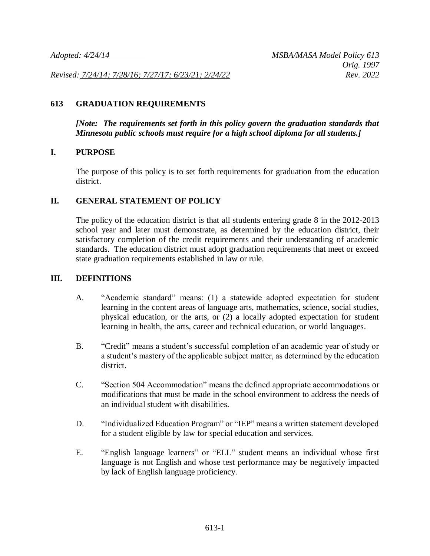*Revised: 7/24/14; 7/28/16; 7/27/17; 6/23/21; 2/24/22 Rev. 2022*

### **613 GRADUATION REQUIREMENTS**

*[Note: The requirements set forth in this policy govern the graduation standards that Minnesota public schools must require for a high school diploma for all students.]*

### **I. PURPOSE**

The purpose of this policy is to set forth requirements for graduation from the education district.

### **II. GENERAL STATEMENT OF POLICY**

The policy of the education district is that all students entering grade 8 in the 2012-2013 school year and later must demonstrate, as determined by the education district, their satisfactory completion of the credit requirements and their understanding of academic standards. The education district must adopt graduation requirements that meet or exceed state graduation requirements established in law or rule.

### **III. DEFINITIONS**

- A. "Academic standard" means: (1) a statewide adopted expectation for student learning in the content areas of language arts, mathematics, science, social studies, physical education, or the arts, or (2) a locally adopted expectation for student learning in health, the arts, career and technical education, or world languages.
- B. "Credit" means a student's successful completion of an academic year of study or a student's mastery of the applicable subject matter, as determined by the education district.
- C. "Section 504 Accommodation" means the defined appropriate accommodations or modifications that must be made in the school environment to address the needs of an individual student with disabilities.
- D. "Individualized Education Program" or "IEP" means a written statement developed for a student eligible by law for special education and services.
- E. "English language learners" or "ELL" student means an individual whose first language is not English and whose test performance may be negatively impacted by lack of English language proficiency.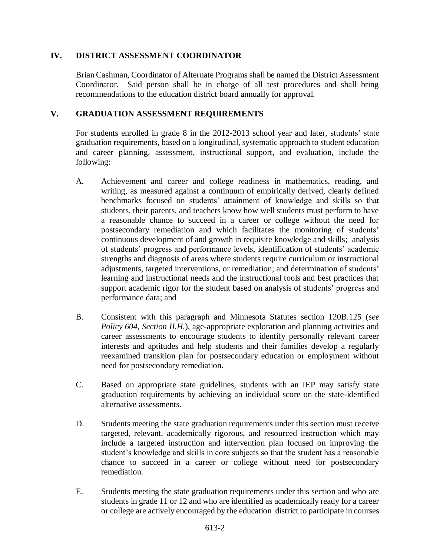## **IV. DISTRICT ASSESSMENT COORDINATOR**

Brian Cashman, Coordinator of Alternate Programs shall be named the District Assessment Coordinator. Said person shall be in charge of all test procedures and shall bring recommendations to the education district board annually for approval.

### **V. GRADUATION ASSESSMENT REQUIREMENTS**

For students enrolled in grade 8 in the 2012-2013 school year and later, students' state graduation requirements, based on a longitudinal, systematic approach to student education and career planning, assessment, instructional support, and evaluation, include the following:

- A. Achievement and career and college readiness in mathematics, reading, and writing, as measured against a continuum of empirically derived, clearly defined benchmarks focused on students' attainment of knowledge and skills so that students, their parents, and teachers know how well students must perform to have a reasonable chance to succeed in a career or college without the need for postsecondary remediation and which facilitates the monitoring of students' continuous development of and growth in requisite knowledge and skills; analysis of students' progress and performance levels, identification of students' academic strengths and diagnosis of areas where students require curriculum or instructional adjustments, targeted interventions, or remediation; and determination of students' learning and instructional needs and the instructional tools and best practices that support academic rigor for the student based on analysis of students' progress and performance data; and
- B. Consistent with this paragraph and Minnesota Statutes section 120B.125 (*see Policy 604, Section II.H.*), age-appropriate exploration and planning activities and career assessments to encourage students to identify personally relevant career interests and aptitudes and help students and their families develop a regularly reexamined transition plan for postsecondary education or employment without need for postsecondary remediation.
- C. Based on appropriate state guidelines, students with an IEP may satisfy state graduation requirements by achieving an individual score on the state-identified alternative assessments.
- D. Students meeting the state graduation requirements under this section must receive targeted, relevant, academically rigorous, and resourced instruction which may include a targeted instruction and intervention plan focused on improving the student's knowledge and skills in core subjects so that the student has a reasonable chance to succeed in a career or college without need for postsecondary remediation.
- E. Students meeting the state graduation requirements under this section and who are students in grade 11 or 12 and who are identified as academically ready for a career or college are actively encouraged by the education district to participate in courses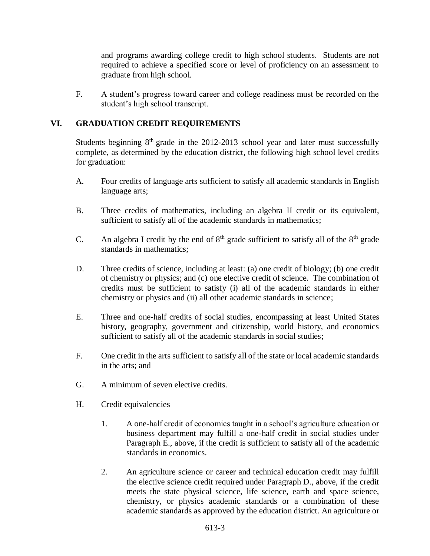and programs awarding college credit to high school students. Students are not required to achieve a specified score or level of proficiency on an assessment to graduate from high school.

F. A student's progress toward career and college readiness must be recorded on the student's high school transcript.

# **VI. GRADUATION CREDIT REQUIREMENTS**

Students beginning  $8<sup>th</sup>$  grade in the 2012-2013 school year and later must successfully complete, as determined by the education district, the following high school level credits for graduation:

- A. Four credits of language arts sufficient to satisfy all academic standards in English language arts;
- B. Three credits of mathematics, including an algebra II credit or its equivalent, sufficient to satisfy all of the academic standards in mathematics;
- C. An algebra I credit by the end of  $8<sup>th</sup>$  grade sufficient to satisfy all of the  $8<sup>th</sup>$  grade standards in mathematics;
- D. Three credits of science, including at least: (a) one credit of biology; (b) one credit of chemistry or physics; and (c) one elective credit of science. The combination of credits must be sufficient to satisfy (i) all of the academic standards in either chemistry or physics and (ii) all other academic standards in science;
- E. Three and one-half credits of social studies, encompassing at least United States history, geography, government and citizenship, world history, and economics sufficient to satisfy all of the academic standards in social studies;
- F. One credit in the arts sufficient to satisfy all of the state or local academic standards in the arts; and
- G. A minimum of seven elective credits.
- H. Credit equivalencies
	- 1. A one-half credit of economics taught in a school's agriculture education or business department may fulfill a one-half credit in social studies under Paragraph E., above, if the credit is sufficient to satisfy all of the academic standards in economics.
	- 2. An agriculture science or career and technical education credit may fulfill the elective science credit required under Paragraph D., above, if the credit meets the state physical science, life science, earth and space science, chemistry, or physics academic standards or a combination of these academic standards as approved by the education district. An agriculture or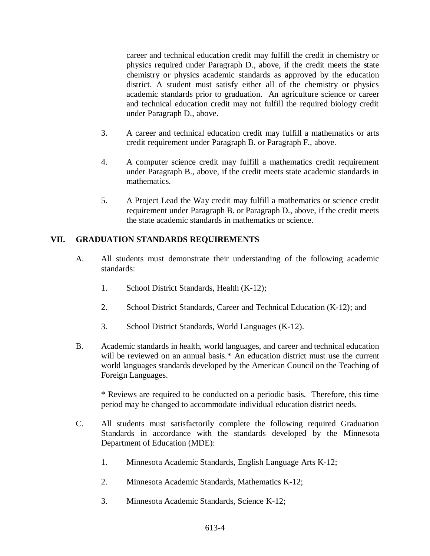career and technical education credit may fulfill the credit in chemistry or physics required under Paragraph D., above, if the credit meets the state chemistry or physics academic standards as approved by the education district. A student must satisfy either all of the chemistry or physics academic standards prior to graduation. An agriculture science or career and technical education credit may not fulfill the required biology credit under Paragraph D., above.

- 3. A career and technical education credit may fulfill a mathematics or arts credit requirement under Paragraph B. or Paragraph F., above.
- 4. A computer science credit may fulfill a mathematics credit requirement under Paragraph B., above, if the credit meets state academic standards in mathematics.
- 5. A Project Lead the Way credit may fulfill a mathematics or science credit requirement under Paragraph B. or Paragraph D., above, if the credit meets the state academic standards in mathematics or science.

# **VII. GRADUATION STANDARDS REQUIREMENTS**

- A. All students must demonstrate their understanding of the following academic standards:
	- 1. School District Standards, Health (K-12);
	- 2. School District Standards, Career and Technical Education (K-12); and
	- 3. School District Standards, World Languages (K-12).
- B. Academic standards in health, world languages, and career and technical education will be reviewed on an annual basis.<sup>\*</sup> An education district must use the current world languages standards developed by the American Council on the Teaching of Foreign Languages.

\* Reviews are required to be conducted on a periodic basis. Therefore, this time period may be changed to accommodate individual education district needs.

- C. All students must satisfactorily complete the following required Graduation Standards in accordance with the standards developed by the Minnesota Department of Education (MDE):
	- 1. Minnesota Academic Standards, English Language Arts K-12;
	- 2. Minnesota Academic Standards, Mathematics K-12;
	- 3. Minnesota Academic Standards, Science K-12;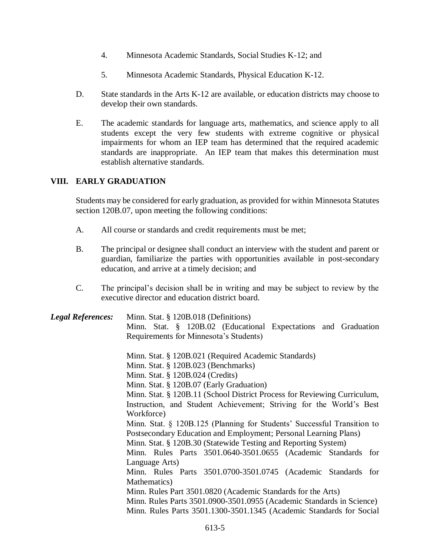- 4. Minnesota Academic Standards, Social Studies K-12; and
- 5. Minnesota Academic Standards, Physical Education K-12.
- D. State standards in the Arts K-12 are available, or education districts may choose to develop their own standards.
- E. The academic standards for language arts, mathematics, and science apply to all students except the very few students with extreme cognitive or physical impairments for whom an IEP team has determined that the required academic standards are inappropriate. An IEP team that makes this determination must establish alternative standards.

## **VIII. EARLY GRADUATION**

Students may be considered for early graduation, as provided for within Minnesota Statutes section 120B.07, upon meeting the following conditions:

- A. All course or standards and credit requirements must be met;
- B. The principal or designee shall conduct an interview with the student and parent or guardian, familiarize the parties with opportunities available in post-secondary education, and arrive at a timely decision; and
- C. The principal's decision shall be in writing and may be subject to review by the executive director and education district board.

*Legal References:* Minn. Stat. § 120B.018 (Definitions) Minn. Stat. § 120B.02 (Educational Expectations and Graduation Requirements for Minnesota's Students)

Minn. Stat. § 120B.021 (Required Academic Standards)

Minn. Stat. § 120B.023 (Benchmarks)

Minn. Stat. § 120B.024 (Credits)

Minn. Stat. § 120B.07 (Early Graduation)

Minn. Stat. § 120B.11 (School District Process for Reviewing Curriculum, Instruction, and Student Achievement; Striving for the World's Best Workforce)

Minn. Stat. § 120B.125 (Planning for Students' Successful Transition to Postsecondary Education and Employment; Personal Learning Plans)

Minn. Stat. § 120B.30 (Statewide Testing and Reporting System)

Minn. Rules Parts 3501.0640-3501.0655 (Academic Standards for Language Arts)

Minn. Rules Parts 3501.0700-3501.0745 (Academic Standards for Mathematics)

Minn. Rules Part 3501.0820 (Academic Standards for the Arts)

Minn. Rules Parts 3501.0900-3501.0955 (Academic Standards in Science) Minn. Rules Parts 3501.1300-3501.1345 (Academic Standards for Social